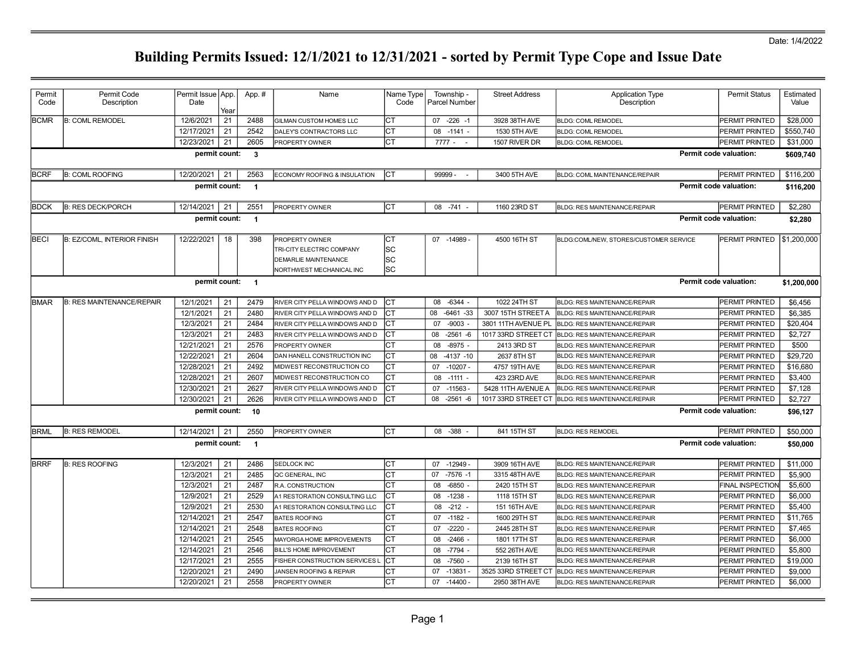Date: 1/4/2022

| Code<br>Description<br>Date<br>Code<br>Parcel Number<br>Description<br>Value<br>Yeaı<br><b>BCMR</b><br><b>B: COML REMODEL</b><br>12/6/2021<br>21<br>2488<br>Іст<br>\$28,000<br>$07 - 226 - 1$<br><b>PERMIT PRINTED</b><br><b>GILMAN CUSTOM HOMES LLC</b><br>3928 38TH AVE<br><b>BLDG: COML REMODEL</b><br>Iст<br>21<br>2542<br>12/17/2021<br>DALEY'S CONTRACTORS LLC<br>08 -1141 -<br>1530 5TH AVE<br><b>BLDG: COML REMODEL</b><br>PERMIT PRINTED<br>2605<br>Iст<br>12/23/2021<br>21<br>$7777 - -$<br>\$31,000<br><b>PROPERTY OWNER</b><br>1507 RIVER DR<br>PERMIT PRINTED<br><b>BLDG: COML REMODEL</b><br>Permit code valuation:<br>permit count:<br>$\mathbf{3}$<br><b>B: COML ROOFING</b><br>99999 -<br>3400 5TH AVE<br><b>BCRF</b><br>12/20/2021<br>21<br>2563<br>ECONOMY ROOFING & INSULATION<br>Iст<br>BLDG: COML MAINTENANCE/REPAIR<br>PERMIT PRINTED<br>permit count:<br>Permit code valuation:<br>$\overline{1}$<br>12/14/2021<br>Iст<br>\$2,280<br> BDCK<br><b>B: RES DECK/PORCH</b><br>21<br>2551<br><b>PROPERTY OWNER</b><br>08 -741 -<br>1160 23RD ST<br><b>BLDG: RES MAINTENANCE/REPAIR</b><br>PERMIT PRINTED<br>Permit code valuation:<br>\$2,280<br>permit count:<br>$\overline{1}$<br>12/22/2021<br>Iст<br><b>BECI</b><br><b>B: EZ/COML, INTERIOR FINISH</b><br>18<br>398<br>07 -14989<br>4500 16TH ST<br>PERMIT PRINTED<br><b>PROPERTY OWNER</b><br>BLDG:COML/NEW, STORES/CUSTOMER SERVICE<br> SC<br>TRI-CITY ELECTRIC COMPANY<br> SC<br><b>DEMARLIE MAINTENANCE</b><br>lsc<br>NORTHWEST MECHANICAL INC<br>Permit code valuation:<br>permit count:<br>$\overline{1}$<br><b>BMAR</b><br><b>B: RES MAINTENANCE/REPAIR</b><br>12/1/2021<br>21<br>2479<br>Iст<br>08 -6344 -<br>1022 24TH ST<br>\$6.456<br>RIVER CITY PELLA WINDOWS AND D<br><b>BLDG: RES MAINTENANCE/REPAIR</b><br>PERMIT PRINTED<br>12/1/2021<br>21<br>2480<br>Iст<br>$-6461 - 33$<br>\$6,385<br>RIVER CITY PELLA WINDOWS AND D<br>08<br>3007 15TH STREET A<br><b>PERMIT PRINTED</b><br>BLDG: RES MAINTENANCE/REPAIR<br>12/3/2021<br>21<br>2484<br>СT<br>\$20,404<br>RIVER CITY PELLA WINDOWS AND D<br>07<br>$-9003$<br>3801 11TH AVENUE PL<br>BLDG: RES MAINTENANCE/REPAIR<br>PERMIT PRINTED<br>12/3/2021<br>21<br>2483<br>CT<br>$-2561 - 6$<br>1017 33RD STREET CT<br>PERMIT PRINTED<br>\$2,727<br>RIVER CITY PELLA WINDOWS AND D<br>08<br><b>BLDG: RES MAINTENANCE/REPAIR</b><br>12/21/2021<br>21<br>2576<br>lст<br>\$500<br>$-8975 -$<br><b>PROPERTY OWNER</b><br>08<br>2413 3RD ST<br><b>BLDG: RES MAINTENANCE/REPAIR</b><br><b>PERMIT PRINTED</b><br>Iст<br>12/22/2021<br>21<br>2604<br>$-4137 - 10$<br>2637 8TH ST<br>PERMIT PRINTED<br>\$29,720<br>DAN HANELL CONSTRUCTION INC<br>08<br><b>BLDG: RES MAINTENANCE/REPAIR</b><br>12/28/2021<br>21<br>2492<br>Iст<br>$-10207 -$<br>4757 19TH AVE<br>\$16,680<br>07<br>PERMIT PRINTED<br>MIDWEST RECONSTRUCTION CO<br><b>BLDG: RES MAINTENANCE/REPAIR</b><br>21<br>12/28/2021<br>2607<br>Iст<br>$-1111 -$<br>\$3,400<br>MIDWEST RECONSTRUCTION CO<br>08<br>423 23RD AVE<br><b>BLDG: RES MAINTENANCE/REPAIR</b><br>PERMIT PRINTED<br>12/30/2021<br>21<br>2627<br>Iст<br>$-11563$<br>RIVER CITY PELLA WINDOWS AND D<br>07<br>5428 11TH AVENUE A<br><b>BLDG: RES MAINTENANCE/REPAIR</b><br><b>PERMIT PRINTED</b><br>\$7,128<br>12/30/2021<br>21<br>2626<br>СT<br>$-2561 - 6$<br>\$2,727<br>08<br>1017 33RD STREET CT<br>PERMIT PRINTED<br>RIVER CITY PELLA WINDOWS AND D<br><b>BLDG: RES MAINTENANCE/REPAIR</b><br>permit count:<br>Permit code valuation:<br>10<br>\$96,127<br><b>ICT</b><br><b>B: RES REMODEL</b><br>12/14/2021<br>21<br>2550<br>08 - 388 -<br>841 15TH ST<br>PERMIT PRINTED<br>\$50,000<br><b>BRML</b><br><b>PROPERTY OWNER</b><br><b>BLDG: RES REMODEL</b><br>Permit code valuation:<br>permit count:<br>$\overline{1}$<br>\$50,000<br><b>BRRF</b><br>12/3/2021<br>21<br>Iст<br>$-12949-$<br><b>B: RES ROOFING</b><br>2486<br>3909 16TH AVE<br>PERMIT PRINTED<br>\$11,000<br><b>SEDLOCK INC</b><br>07<br><b>BLDG: RES MAINTENANCE/REPAIR</b><br>12/3/2021<br>21<br>lст<br>2485<br>$-7576 - 1$<br>\$5,900<br>07<br>3315 48TH AVE<br>PERMIT PRINTED<br>QC GENERAL, INC<br><b>BLDG: RES MAINTENANCE/REPAIR</b><br>12/3/2021<br>21<br>2487<br>Іст<br>$-6850 -$<br>\$5,600<br>R.A. CONSTRUCTION<br>08<br>2420 15TH ST<br><b>FINAL INSPECTION</b><br>BLDG: RES MAINTENANCE/REPAIR<br>12/9/2021<br>21<br>2529<br>Iст<br>$-1238 -$<br>1118 15TH ST<br>A1 RESTORATION CONSULTING LLC<br>08<br><b>PERMIT PRINTED</b><br>\$6,000<br><b>BLDG: RES MAINTENANCE/REPAIR</b><br>21<br>Iст<br>12/9/2021<br>2530<br>$-212 -$<br>\$5,400<br>A1 RESTORATION CONSULTING LLC<br>08<br>151 16TH AVE<br><b>BLDG: RES MAINTENANCE/REPAIR</b><br>PERMIT PRINTED<br>12/14/2021<br>21<br>2547<br>Iст<br>$-1182 -$<br>\$11,765<br><b>BATES ROOFING</b><br>1600 29TH ST<br>PERMIT PRINTED<br>07<br><b>BLDG: RES MAINTENANCE/REPAIR</b><br>12/14/2021<br>21<br>2548<br>lст<br>$-2220$<br>\$7,465<br>07<br>2445 28TH ST<br>PERMIT PRINTED<br><b>BATES ROOFING</b><br><b>BLDG: RES MAINTENANCE/REPAIR</b><br>lст<br>12/14/2021<br>21<br>2545<br>\$6,000<br>MAYORGA HOME IMPROVEMENTS<br>$-2466$ -<br>1801 17TH ST<br>08<br><b>BLDG: RES MAINTENANCE/REPAIR</b><br>PERMIT PRINTED<br>12/14/2021<br>$-7794 -$<br>552 26TH AVE<br>21<br>2546<br>Iст<br>08<br>PERMIT PRINTED<br>\$5,800<br><b>BILL'S HOME IMPROVEMENT</b><br><b>BLDG: RES MAINTENANCE/REPAIR</b><br>12/17/2021<br>21<br>2555<br><b>ICT</b><br>$-7560 -$<br>2139 16TH ST<br>\$19,000<br>08<br>PERMIT PRINTED<br>FISHER CONSTRUCTION SERVICES L<br><b>BLDG: RES MAINTENANCE/REPAIR</b><br>21<br>2490<br>Iст<br>-13831<br>3525 33RD STREET CT<br>12/20/2021<br><b>JANSEN ROOFING &amp; REPAIR</b><br>07<br>PERMIT PRINTED<br>\$9,000<br><b>BLDG: RES MAINTENANCE/REPAIR</b> | Permit | Permit Code | Permit Issue   App. | App.# | Name | Name Type | Township - | <b>Street Address</b> | <b>Application Type</b> | <b>Permit Status</b> | Estimated   |
|---------------------------------------------------------------------------------------------------------------------------------------------------------------------------------------------------------------------------------------------------------------------------------------------------------------------------------------------------------------------------------------------------------------------------------------------------------------------------------------------------------------------------------------------------------------------------------------------------------------------------------------------------------------------------------------------------------------------------------------------------------------------------------------------------------------------------------------------------------------------------------------------------------------------------------------------------------------------------------------------------------------------------------------------------------------------------------------------------------------------------------------------------------------------------------------------------------------------------------------------------------------------------------------------------------------------------------------------------------------------------------------------------------------------------------------------------------------------------------------------------------------------------------------------------------------------------------------------------------------------------------------------------------------------------------------------------------------------------------------------------------------------------------------------------------------------------------------------------------------------------------------------------------------------------------------------------------------------------------------------------------------------------------------------------------------------------------------------------------------------------------------------------------------------------------------------------------------------------------------------------------------------------------------------------------------------------------------------------------------------------------------------------------------------------------------------------------------------------------------------------------------------------------------------------------------------------------------------------------------------------------------------------------------------------------------------------------------------------------------------------------------------------------------------------------------------------------------------------------------------------------------------------------------------------------------------------------------------------------------------------------------------------------------------------------------------------------------------------------------------------------------------------------------------------------------------------------------------------------------------------------------------------------------------------------------------------------------------------------------------------------------------------------------------------------------------------------------------------------------------------------------------------------------------------------------------------------------------------------------------------------------------------------------------------------------------------------------------------------------------------------------------------------------------------------------------------------------------------------------------------------------------------------------------------------------------------------------------------------------------------------------------------------------------------------------------------------------------------------------------------------------------------------------------------------------------------------------------------------------------------------------------------------------------------------------------------------------------------------------------------------------------------------------------------------------------------------------------------------------------------------------------------------------------------------------------------------------------------------------------------------------------------------------------------------------------------------------------------------------------------------------------------------------------------------------------------------------------------------------------------------------------------------------------------------------------------------------------------------------------------------------------------------------------------------------------------------------------------------------------------------------------------------------------------------------------------------------------------------------------------------------------------------------------------------------------------------------------------------------------------------------------------------------------------------------------------------------------------------------------------------------------------------------------------------------------------------------------------------------------------------------------------------------------------------------------------------------------------------------------------------|--------|-------------|---------------------|-------|------|-----------|------------|-----------------------|-------------------------|----------------------|-------------|
|                                                                                                                                                                                                                                                                                                                                                                                                                                                                                                                                                                                                                                                                                                                                                                                                                                                                                                                                                                                                                                                                                                                                                                                                                                                                                                                                                                                                                                                                                                                                                                                                                                                                                                                                                                                                                                                                                                                                                                                                                                                                                                                                                                                                                                                                                                                                                                                                                                                                                                                                                                                                                                                                                                                                                                                                                                                                                                                                                                                                                                                                                                                                                                                                                                                                                                                                                                                                                                                                                                                                                                                                                                                                                                                                                                                                                                                                                                                                                                                                                                                                                                                                                                                                                                                                                                                                                                                                                                                                                                                                                                                                                                                                                                                                                                                                                                                                                                                                                                                                                                                                                                                                                                                                                                                                                                                                                                                                                                                                                                                                                                                                                                                                                                                                                         |        |             |                     |       |      |           |            |                       |                         |                      |             |
|                                                                                                                                                                                                                                                                                                                                                                                                                                                                                                                                                                                                                                                                                                                                                                                                                                                                                                                                                                                                                                                                                                                                                                                                                                                                                                                                                                                                                                                                                                                                                                                                                                                                                                                                                                                                                                                                                                                                                                                                                                                                                                                                                                                                                                                                                                                                                                                                                                                                                                                                                                                                                                                                                                                                                                                                                                                                                                                                                                                                                                                                                                                                                                                                                                                                                                                                                                                                                                                                                                                                                                                                                                                                                                                                                                                                                                                                                                                                                                                                                                                                                                                                                                                                                                                                                                                                                                                                                                                                                                                                                                                                                                                                                                                                                                                                                                                                                                                                                                                                                                                                                                                                                                                                                                                                                                                                                                                                                                                                                                                                                                                                                                                                                                                                                         |        |             |                     |       |      |           |            |                       |                         |                      |             |
|                                                                                                                                                                                                                                                                                                                                                                                                                                                                                                                                                                                                                                                                                                                                                                                                                                                                                                                                                                                                                                                                                                                                                                                                                                                                                                                                                                                                                                                                                                                                                                                                                                                                                                                                                                                                                                                                                                                                                                                                                                                                                                                                                                                                                                                                                                                                                                                                                                                                                                                                                                                                                                                                                                                                                                                                                                                                                                                                                                                                                                                                                                                                                                                                                                                                                                                                                                                                                                                                                                                                                                                                                                                                                                                                                                                                                                                                                                                                                                                                                                                                                                                                                                                                                                                                                                                                                                                                                                                                                                                                                                                                                                                                                                                                                                                                                                                                                                                                                                                                                                                                                                                                                                                                                                                                                                                                                                                                                                                                                                                                                                                                                                                                                                                                                         |        |             |                     |       |      |           |            |                       |                         |                      | \$550,740   |
|                                                                                                                                                                                                                                                                                                                                                                                                                                                                                                                                                                                                                                                                                                                                                                                                                                                                                                                                                                                                                                                                                                                                                                                                                                                                                                                                                                                                                                                                                                                                                                                                                                                                                                                                                                                                                                                                                                                                                                                                                                                                                                                                                                                                                                                                                                                                                                                                                                                                                                                                                                                                                                                                                                                                                                                                                                                                                                                                                                                                                                                                                                                                                                                                                                                                                                                                                                                                                                                                                                                                                                                                                                                                                                                                                                                                                                                                                                                                                                                                                                                                                                                                                                                                                                                                                                                                                                                                                                                                                                                                                                                                                                                                                                                                                                                                                                                                                                                                                                                                                                                                                                                                                                                                                                                                                                                                                                                                                                                                                                                                                                                                                                                                                                                                                         |        |             |                     |       |      |           |            |                       |                         |                      |             |
|                                                                                                                                                                                                                                                                                                                                                                                                                                                                                                                                                                                                                                                                                                                                                                                                                                                                                                                                                                                                                                                                                                                                                                                                                                                                                                                                                                                                                                                                                                                                                                                                                                                                                                                                                                                                                                                                                                                                                                                                                                                                                                                                                                                                                                                                                                                                                                                                                                                                                                                                                                                                                                                                                                                                                                                                                                                                                                                                                                                                                                                                                                                                                                                                                                                                                                                                                                                                                                                                                                                                                                                                                                                                                                                                                                                                                                                                                                                                                                                                                                                                                                                                                                                                                                                                                                                                                                                                                                                                                                                                                                                                                                                                                                                                                                                                                                                                                                                                                                                                                                                                                                                                                                                                                                                                                                                                                                                                                                                                                                                                                                                                                                                                                                                                                         |        |             |                     |       |      |           |            |                       |                         |                      | \$609,740   |
|                                                                                                                                                                                                                                                                                                                                                                                                                                                                                                                                                                                                                                                                                                                                                                                                                                                                                                                                                                                                                                                                                                                                                                                                                                                                                                                                                                                                                                                                                                                                                                                                                                                                                                                                                                                                                                                                                                                                                                                                                                                                                                                                                                                                                                                                                                                                                                                                                                                                                                                                                                                                                                                                                                                                                                                                                                                                                                                                                                                                                                                                                                                                                                                                                                                                                                                                                                                                                                                                                                                                                                                                                                                                                                                                                                                                                                                                                                                                                                                                                                                                                                                                                                                                                                                                                                                                                                                                                                                                                                                                                                                                                                                                                                                                                                                                                                                                                                                                                                                                                                                                                                                                                                                                                                                                                                                                                                                                                                                                                                                                                                                                                                                                                                                                                         |        |             |                     |       |      |           |            |                       |                         |                      | \$116,200   |
|                                                                                                                                                                                                                                                                                                                                                                                                                                                                                                                                                                                                                                                                                                                                                                                                                                                                                                                                                                                                                                                                                                                                                                                                                                                                                                                                                                                                                                                                                                                                                                                                                                                                                                                                                                                                                                                                                                                                                                                                                                                                                                                                                                                                                                                                                                                                                                                                                                                                                                                                                                                                                                                                                                                                                                                                                                                                                                                                                                                                                                                                                                                                                                                                                                                                                                                                                                                                                                                                                                                                                                                                                                                                                                                                                                                                                                                                                                                                                                                                                                                                                                                                                                                                                                                                                                                                                                                                                                                                                                                                                                                                                                                                                                                                                                                                                                                                                                                                                                                                                                                                                                                                                                                                                                                                                                                                                                                                                                                                                                                                                                                                                                                                                                                                                         |        |             |                     |       |      |           |            |                       |                         |                      | \$116,200   |
|                                                                                                                                                                                                                                                                                                                                                                                                                                                                                                                                                                                                                                                                                                                                                                                                                                                                                                                                                                                                                                                                                                                                                                                                                                                                                                                                                                                                                                                                                                                                                                                                                                                                                                                                                                                                                                                                                                                                                                                                                                                                                                                                                                                                                                                                                                                                                                                                                                                                                                                                                                                                                                                                                                                                                                                                                                                                                                                                                                                                                                                                                                                                                                                                                                                                                                                                                                                                                                                                                                                                                                                                                                                                                                                                                                                                                                                                                                                                                                                                                                                                                                                                                                                                                                                                                                                                                                                                                                                                                                                                                                                                                                                                                                                                                                                                                                                                                                                                                                                                                                                                                                                                                                                                                                                                                                                                                                                                                                                                                                                                                                                                                                                                                                                                                         |        |             |                     |       |      |           |            |                       |                         |                      |             |
|                                                                                                                                                                                                                                                                                                                                                                                                                                                                                                                                                                                                                                                                                                                                                                                                                                                                                                                                                                                                                                                                                                                                                                                                                                                                                                                                                                                                                                                                                                                                                                                                                                                                                                                                                                                                                                                                                                                                                                                                                                                                                                                                                                                                                                                                                                                                                                                                                                                                                                                                                                                                                                                                                                                                                                                                                                                                                                                                                                                                                                                                                                                                                                                                                                                                                                                                                                                                                                                                                                                                                                                                                                                                                                                                                                                                                                                                                                                                                                                                                                                                                                                                                                                                                                                                                                                                                                                                                                                                                                                                                                                                                                                                                                                                                                                                                                                                                                                                                                                                                                                                                                                                                                                                                                                                                                                                                                                                                                                                                                                                                                                                                                                                                                                                                         |        |             |                     |       |      |           |            |                       |                         |                      |             |
|                                                                                                                                                                                                                                                                                                                                                                                                                                                                                                                                                                                                                                                                                                                                                                                                                                                                                                                                                                                                                                                                                                                                                                                                                                                                                                                                                                                                                                                                                                                                                                                                                                                                                                                                                                                                                                                                                                                                                                                                                                                                                                                                                                                                                                                                                                                                                                                                                                                                                                                                                                                                                                                                                                                                                                                                                                                                                                                                                                                                                                                                                                                                                                                                                                                                                                                                                                                                                                                                                                                                                                                                                                                                                                                                                                                                                                                                                                                                                                                                                                                                                                                                                                                                                                                                                                                                                                                                                                                                                                                                                                                                                                                                                                                                                                                                                                                                                                                                                                                                                                                                                                                                                                                                                                                                                                                                                                                                                                                                                                                                                                                                                                                                                                                                                         |        |             |                     |       |      |           |            |                       |                         |                      | \$1,200,000 |
|                                                                                                                                                                                                                                                                                                                                                                                                                                                                                                                                                                                                                                                                                                                                                                                                                                                                                                                                                                                                                                                                                                                                                                                                                                                                                                                                                                                                                                                                                                                                                                                                                                                                                                                                                                                                                                                                                                                                                                                                                                                                                                                                                                                                                                                                                                                                                                                                                                                                                                                                                                                                                                                                                                                                                                                                                                                                                                                                                                                                                                                                                                                                                                                                                                                                                                                                                                                                                                                                                                                                                                                                                                                                                                                                                                                                                                                                                                                                                                                                                                                                                                                                                                                                                                                                                                                                                                                                                                                                                                                                                                                                                                                                                                                                                                                                                                                                                                                                                                                                                                                                                                                                                                                                                                                                                                                                                                                                                                                                                                                                                                                                                                                                                                                                                         |        |             |                     |       |      |           |            |                       |                         |                      |             |
|                                                                                                                                                                                                                                                                                                                                                                                                                                                                                                                                                                                                                                                                                                                                                                                                                                                                                                                                                                                                                                                                                                                                                                                                                                                                                                                                                                                                                                                                                                                                                                                                                                                                                                                                                                                                                                                                                                                                                                                                                                                                                                                                                                                                                                                                                                                                                                                                                                                                                                                                                                                                                                                                                                                                                                                                                                                                                                                                                                                                                                                                                                                                                                                                                                                                                                                                                                                                                                                                                                                                                                                                                                                                                                                                                                                                                                                                                                                                                                                                                                                                                                                                                                                                                                                                                                                                                                                                                                                                                                                                                                                                                                                                                                                                                                                                                                                                                                                                                                                                                                                                                                                                                                                                                                                                                                                                                                                                                                                                                                                                                                                                                                                                                                                                                         |        |             |                     |       |      |           |            |                       |                         |                      | \$1,200,000 |
|                                                                                                                                                                                                                                                                                                                                                                                                                                                                                                                                                                                                                                                                                                                                                                                                                                                                                                                                                                                                                                                                                                                                                                                                                                                                                                                                                                                                                                                                                                                                                                                                                                                                                                                                                                                                                                                                                                                                                                                                                                                                                                                                                                                                                                                                                                                                                                                                                                                                                                                                                                                                                                                                                                                                                                                                                                                                                                                                                                                                                                                                                                                                                                                                                                                                                                                                                                                                                                                                                                                                                                                                                                                                                                                                                                                                                                                                                                                                                                                                                                                                                                                                                                                                                                                                                                                                                                                                                                                                                                                                                                                                                                                                                                                                                                                                                                                                                                                                                                                                                                                                                                                                                                                                                                                                                                                                                                                                                                                                                                                                                                                                                                                                                                                                                         |        |             |                     |       |      |           |            |                       |                         |                      |             |
|                                                                                                                                                                                                                                                                                                                                                                                                                                                                                                                                                                                                                                                                                                                                                                                                                                                                                                                                                                                                                                                                                                                                                                                                                                                                                                                                                                                                                                                                                                                                                                                                                                                                                                                                                                                                                                                                                                                                                                                                                                                                                                                                                                                                                                                                                                                                                                                                                                                                                                                                                                                                                                                                                                                                                                                                                                                                                                                                                                                                                                                                                                                                                                                                                                                                                                                                                                                                                                                                                                                                                                                                                                                                                                                                                                                                                                                                                                                                                                                                                                                                                                                                                                                                                                                                                                                                                                                                                                                                                                                                                                                                                                                                                                                                                                                                                                                                                                                                                                                                                                                                                                                                                                                                                                                                                                                                                                                                                                                                                                                                                                                                                                                                                                                                                         |        |             |                     |       |      |           |            |                       |                         |                      |             |
|                                                                                                                                                                                                                                                                                                                                                                                                                                                                                                                                                                                                                                                                                                                                                                                                                                                                                                                                                                                                                                                                                                                                                                                                                                                                                                                                                                                                                                                                                                                                                                                                                                                                                                                                                                                                                                                                                                                                                                                                                                                                                                                                                                                                                                                                                                                                                                                                                                                                                                                                                                                                                                                                                                                                                                                                                                                                                                                                                                                                                                                                                                                                                                                                                                                                                                                                                                                                                                                                                                                                                                                                                                                                                                                                                                                                                                                                                                                                                                                                                                                                                                                                                                                                                                                                                                                                                                                                                                                                                                                                                                                                                                                                                                                                                                                                                                                                                                                                                                                                                                                                                                                                                                                                                                                                                                                                                                                                                                                                                                                                                                                                                                                                                                                                                         |        |             |                     |       |      |           |            |                       |                         |                      |             |
|                                                                                                                                                                                                                                                                                                                                                                                                                                                                                                                                                                                                                                                                                                                                                                                                                                                                                                                                                                                                                                                                                                                                                                                                                                                                                                                                                                                                                                                                                                                                                                                                                                                                                                                                                                                                                                                                                                                                                                                                                                                                                                                                                                                                                                                                                                                                                                                                                                                                                                                                                                                                                                                                                                                                                                                                                                                                                                                                                                                                                                                                                                                                                                                                                                                                                                                                                                                                                                                                                                                                                                                                                                                                                                                                                                                                                                                                                                                                                                                                                                                                                                                                                                                                                                                                                                                                                                                                                                                                                                                                                                                                                                                                                                                                                                                                                                                                                                                                                                                                                                                                                                                                                                                                                                                                                                                                                                                                                                                                                                                                                                                                                                                                                                                                                         |        |             |                     |       |      |           |            |                       |                         |                      |             |
|                                                                                                                                                                                                                                                                                                                                                                                                                                                                                                                                                                                                                                                                                                                                                                                                                                                                                                                                                                                                                                                                                                                                                                                                                                                                                                                                                                                                                                                                                                                                                                                                                                                                                                                                                                                                                                                                                                                                                                                                                                                                                                                                                                                                                                                                                                                                                                                                                                                                                                                                                                                                                                                                                                                                                                                                                                                                                                                                                                                                                                                                                                                                                                                                                                                                                                                                                                                                                                                                                                                                                                                                                                                                                                                                                                                                                                                                                                                                                                                                                                                                                                                                                                                                                                                                                                                                                                                                                                                                                                                                                                                                                                                                                                                                                                                                                                                                                                                                                                                                                                                                                                                                                                                                                                                                                                                                                                                                                                                                                                                                                                                                                                                                                                                                                         |        |             |                     |       |      |           |            |                       |                         |                      |             |
|                                                                                                                                                                                                                                                                                                                                                                                                                                                                                                                                                                                                                                                                                                                                                                                                                                                                                                                                                                                                                                                                                                                                                                                                                                                                                                                                                                                                                                                                                                                                                                                                                                                                                                                                                                                                                                                                                                                                                                                                                                                                                                                                                                                                                                                                                                                                                                                                                                                                                                                                                                                                                                                                                                                                                                                                                                                                                                                                                                                                                                                                                                                                                                                                                                                                                                                                                                                                                                                                                                                                                                                                                                                                                                                                                                                                                                                                                                                                                                                                                                                                                                                                                                                                                                                                                                                                                                                                                                                                                                                                                                                                                                                                                                                                                                                                                                                                                                                                                                                                                                                                                                                                                                                                                                                                                                                                                                                                                                                                                                                                                                                                                                                                                                                                                         |        |             |                     |       |      |           |            |                       |                         |                      |             |
|                                                                                                                                                                                                                                                                                                                                                                                                                                                                                                                                                                                                                                                                                                                                                                                                                                                                                                                                                                                                                                                                                                                                                                                                                                                                                                                                                                                                                                                                                                                                                                                                                                                                                                                                                                                                                                                                                                                                                                                                                                                                                                                                                                                                                                                                                                                                                                                                                                                                                                                                                                                                                                                                                                                                                                                                                                                                                                                                                                                                                                                                                                                                                                                                                                                                                                                                                                                                                                                                                                                                                                                                                                                                                                                                                                                                                                                                                                                                                                                                                                                                                                                                                                                                                                                                                                                                                                                                                                                                                                                                                                                                                                                                                                                                                                                                                                                                                                                                                                                                                                                                                                                                                                                                                                                                                                                                                                                                                                                                                                                                                                                                                                                                                                                                                         |        |             |                     |       |      |           |            |                       |                         |                      |             |
|                                                                                                                                                                                                                                                                                                                                                                                                                                                                                                                                                                                                                                                                                                                                                                                                                                                                                                                                                                                                                                                                                                                                                                                                                                                                                                                                                                                                                                                                                                                                                                                                                                                                                                                                                                                                                                                                                                                                                                                                                                                                                                                                                                                                                                                                                                                                                                                                                                                                                                                                                                                                                                                                                                                                                                                                                                                                                                                                                                                                                                                                                                                                                                                                                                                                                                                                                                                                                                                                                                                                                                                                                                                                                                                                                                                                                                                                                                                                                                                                                                                                                                                                                                                                                                                                                                                                                                                                                                                                                                                                                                                                                                                                                                                                                                                                                                                                                                                                                                                                                                                                                                                                                                                                                                                                                                                                                                                                                                                                                                                                                                                                                                                                                                                                                         |        |             |                     |       |      |           |            |                       |                         |                      |             |
|                                                                                                                                                                                                                                                                                                                                                                                                                                                                                                                                                                                                                                                                                                                                                                                                                                                                                                                                                                                                                                                                                                                                                                                                                                                                                                                                                                                                                                                                                                                                                                                                                                                                                                                                                                                                                                                                                                                                                                                                                                                                                                                                                                                                                                                                                                                                                                                                                                                                                                                                                                                                                                                                                                                                                                                                                                                                                                                                                                                                                                                                                                                                                                                                                                                                                                                                                                                                                                                                                                                                                                                                                                                                                                                                                                                                                                                                                                                                                                                                                                                                                                                                                                                                                                                                                                                                                                                                                                                                                                                                                                                                                                                                                                                                                                                                                                                                                                                                                                                                                                                                                                                                                                                                                                                                                                                                                                                                                                                                                                                                                                                                                                                                                                                                                         |        |             |                     |       |      |           |            |                       |                         |                      |             |
|                                                                                                                                                                                                                                                                                                                                                                                                                                                                                                                                                                                                                                                                                                                                                                                                                                                                                                                                                                                                                                                                                                                                                                                                                                                                                                                                                                                                                                                                                                                                                                                                                                                                                                                                                                                                                                                                                                                                                                                                                                                                                                                                                                                                                                                                                                                                                                                                                                                                                                                                                                                                                                                                                                                                                                                                                                                                                                                                                                                                                                                                                                                                                                                                                                                                                                                                                                                                                                                                                                                                                                                                                                                                                                                                                                                                                                                                                                                                                                                                                                                                                                                                                                                                                                                                                                                                                                                                                                                                                                                                                                                                                                                                                                                                                                                                                                                                                                                                                                                                                                                                                                                                                                                                                                                                                                                                                                                                                                                                                                                                                                                                                                                                                                                                                         |        |             |                     |       |      |           |            |                       |                         |                      |             |
|                                                                                                                                                                                                                                                                                                                                                                                                                                                                                                                                                                                                                                                                                                                                                                                                                                                                                                                                                                                                                                                                                                                                                                                                                                                                                                                                                                                                                                                                                                                                                                                                                                                                                                                                                                                                                                                                                                                                                                                                                                                                                                                                                                                                                                                                                                                                                                                                                                                                                                                                                                                                                                                                                                                                                                                                                                                                                                                                                                                                                                                                                                                                                                                                                                                                                                                                                                                                                                                                                                                                                                                                                                                                                                                                                                                                                                                                                                                                                                                                                                                                                                                                                                                                                                                                                                                                                                                                                                                                                                                                                                                                                                                                                                                                                                                                                                                                                                                                                                                                                                                                                                                                                                                                                                                                                                                                                                                                                                                                                                                                                                                                                                                                                                                                                         |        |             |                     |       |      |           |            |                       |                         |                      |             |
|                                                                                                                                                                                                                                                                                                                                                                                                                                                                                                                                                                                                                                                                                                                                                                                                                                                                                                                                                                                                                                                                                                                                                                                                                                                                                                                                                                                                                                                                                                                                                                                                                                                                                                                                                                                                                                                                                                                                                                                                                                                                                                                                                                                                                                                                                                                                                                                                                                                                                                                                                                                                                                                                                                                                                                                                                                                                                                                                                                                                                                                                                                                                                                                                                                                                                                                                                                                                                                                                                                                                                                                                                                                                                                                                                                                                                                                                                                                                                                                                                                                                                                                                                                                                                                                                                                                                                                                                                                                                                                                                                                                                                                                                                                                                                                                                                                                                                                                                                                                                                                                                                                                                                                                                                                                                                                                                                                                                                                                                                                                                                                                                                                                                                                                                                         |        |             |                     |       |      |           |            |                       |                         |                      |             |
|                                                                                                                                                                                                                                                                                                                                                                                                                                                                                                                                                                                                                                                                                                                                                                                                                                                                                                                                                                                                                                                                                                                                                                                                                                                                                                                                                                                                                                                                                                                                                                                                                                                                                                                                                                                                                                                                                                                                                                                                                                                                                                                                                                                                                                                                                                                                                                                                                                                                                                                                                                                                                                                                                                                                                                                                                                                                                                                                                                                                                                                                                                                                                                                                                                                                                                                                                                                                                                                                                                                                                                                                                                                                                                                                                                                                                                                                                                                                                                                                                                                                                                                                                                                                                                                                                                                                                                                                                                                                                                                                                                                                                                                                                                                                                                                                                                                                                                                                                                                                                                                                                                                                                                                                                                                                                                                                                                                                                                                                                                                                                                                                                                                                                                                                                         |        |             |                     |       |      |           |            |                       |                         |                      |             |
|                                                                                                                                                                                                                                                                                                                                                                                                                                                                                                                                                                                                                                                                                                                                                                                                                                                                                                                                                                                                                                                                                                                                                                                                                                                                                                                                                                                                                                                                                                                                                                                                                                                                                                                                                                                                                                                                                                                                                                                                                                                                                                                                                                                                                                                                                                                                                                                                                                                                                                                                                                                                                                                                                                                                                                                                                                                                                                                                                                                                                                                                                                                                                                                                                                                                                                                                                                                                                                                                                                                                                                                                                                                                                                                                                                                                                                                                                                                                                                                                                                                                                                                                                                                                                                                                                                                                                                                                                                                                                                                                                                                                                                                                                                                                                                                                                                                                                                                                                                                                                                                                                                                                                                                                                                                                                                                                                                                                                                                                                                                                                                                                                                                                                                                                                         |        |             |                     |       |      |           |            |                       |                         |                      |             |
|                                                                                                                                                                                                                                                                                                                                                                                                                                                                                                                                                                                                                                                                                                                                                                                                                                                                                                                                                                                                                                                                                                                                                                                                                                                                                                                                                                                                                                                                                                                                                                                                                                                                                                                                                                                                                                                                                                                                                                                                                                                                                                                                                                                                                                                                                                                                                                                                                                                                                                                                                                                                                                                                                                                                                                                                                                                                                                                                                                                                                                                                                                                                                                                                                                                                                                                                                                                                                                                                                                                                                                                                                                                                                                                                                                                                                                                                                                                                                                                                                                                                                                                                                                                                                                                                                                                                                                                                                                                                                                                                                                                                                                                                                                                                                                                                                                                                                                                                                                                                                                                                                                                                                                                                                                                                                                                                                                                                                                                                                                                                                                                                                                                                                                                                                         |        |             |                     |       |      |           |            |                       |                         |                      |             |
|                                                                                                                                                                                                                                                                                                                                                                                                                                                                                                                                                                                                                                                                                                                                                                                                                                                                                                                                                                                                                                                                                                                                                                                                                                                                                                                                                                                                                                                                                                                                                                                                                                                                                                                                                                                                                                                                                                                                                                                                                                                                                                                                                                                                                                                                                                                                                                                                                                                                                                                                                                                                                                                                                                                                                                                                                                                                                                                                                                                                                                                                                                                                                                                                                                                                                                                                                                                                                                                                                                                                                                                                                                                                                                                                                                                                                                                                                                                                                                                                                                                                                                                                                                                                                                                                                                                                                                                                                                                                                                                                                                                                                                                                                                                                                                                                                                                                                                                                                                                                                                                                                                                                                                                                                                                                                                                                                                                                                                                                                                                                                                                                                                                                                                                                                         |        |             |                     |       |      |           |            |                       |                         |                      |             |
|                                                                                                                                                                                                                                                                                                                                                                                                                                                                                                                                                                                                                                                                                                                                                                                                                                                                                                                                                                                                                                                                                                                                                                                                                                                                                                                                                                                                                                                                                                                                                                                                                                                                                                                                                                                                                                                                                                                                                                                                                                                                                                                                                                                                                                                                                                                                                                                                                                                                                                                                                                                                                                                                                                                                                                                                                                                                                                                                                                                                                                                                                                                                                                                                                                                                                                                                                                                                                                                                                                                                                                                                                                                                                                                                                                                                                                                                                                                                                                                                                                                                                                                                                                                                                                                                                                                                                                                                                                                                                                                                                                                                                                                                                                                                                                                                                                                                                                                                                                                                                                                                                                                                                                                                                                                                                                                                                                                                                                                                                                                                                                                                                                                                                                                                                         |        |             |                     |       |      |           |            |                       |                         |                      |             |
|                                                                                                                                                                                                                                                                                                                                                                                                                                                                                                                                                                                                                                                                                                                                                                                                                                                                                                                                                                                                                                                                                                                                                                                                                                                                                                                                                                                                                                                                                                                                                                                                                                                                                                                                                                                                                                                                                                                                                                                                                                                                                                                                                                                                                                                                                                                                                                                                                                                                                                                                                                                                                                                                                                                                                                                                                                                                                                                                                                                                                                                                                                                                                                                                                                                                                                                                                                                                                                                                                                                                                                                                                                                                                                                                                                                                                                                                                                                                                                                                                                                                                                                                                                                                                                                                                                                                                                                                                                                                                                                                                                                                                                                                                                                                                                                                                                                                                                                                                                                                                                                                                                                                                                                                                                                                                                                                                                                                                                                                                                                                                                                                                                                                                                                                                         |        |             |                     |       |      |           |            |                       |                         |                      |             |
|                                                                                                                                                                                                                                                                                                                                                                                                                                                                                                                                                                                                                                                                                                                                                                                                                                                                                                                                                                                                                                                                                                                                                                                                                                                                                                                                                                                                                                                                                                                                                                                                                                                                                                                                                                                                                                                                                                                                                                                                                                                                                                                                                                                                                                                                                                                                                                                                                                                                                                                                                                                                                                                                                                                                                                                                                                                                                                                                                                                                                                                                                                                                                                                                                                                                                                                                                                                                                                                                                                                                                                                                                                                                                                                                                                                                                                                                                                                                                                                                                                                                                                                                                                                                                                                                                                                                                                                                                                                                                                                                                                                                                                                                                                                                                                                                                                                                                                                                                                                                                                                                                                                                                                                                                                                                                                                                                                                                                                                                                                                                                                                                                                                                                                                                                         |        |             |                     |       |      |           |            |                       |                         |                      |             |
|                                                                                                                                                                                                                                                                                                                                                                                                                                                                                                                                                                                                                                                                                                                                                                                                                                                                                                                                                                                                                                                                                                                                                                                                                                                                                                                                                                                                                                                                                                                                                                                                                                                                                                                                                                                                                                                                                                                                                                                                                                                                                                                                                                                                                                                                                                                                                                                                                                                                                                                                                                                                                                                                                                                                                                                                                                                                                                                                                                                                                                                                                                                                                                                                                                                                                                                                                                                                                                                                                                                                                                                                                                                                                                                                                                                                                                                                                                                                                                                                                                                                                                                                                                                                                                                                                                                                                                                                                                                                                                                                                                                                                                                                                                                                                                                                                                                                                                                                                                                                                                                                                                                                                                                                                                                                                                                                                                                                                                                                                                                                                                                                                                                                                                                                                         |        |             |                     |       |      |           |            |                       |                         |                      |             |
|                                                                                                                                                                                                                                                                                                                                                                                                                                                                                                                                                                                                                                                                                                                                                                                                                                                                                                                                                                                                                                                                                                                                                                                                                                                                                                                                                                                                                                                                                                                                                                                                                                                                                                                                                                                                                                                                                                                                                                                                                                                                                                                                                                                                                                                                                                                                                                                                                                                                                                                                                                                                                                                                                                                                                                                                                                                                                                                                                                                                                                                                                                                                                                                                                                                                                                                                                                                                                                                                                                                                                                                                                                                                                                                                                                                                                                                                                                                                                                                                                                                                                                                                                                                                                                                                                                                                                                                                                                                                                                                                                                                                                                                                                                                                                                                                                                                                                                                                                                                                                                                                                                                                                                                                                                                                                                                                                                                                                                                                                                                                                                                                                                                                                                                                                         |        |             |                     |       |      |           |            |                       |                         |                      |             |
|                                                                                                                                                                                                                                                                                                                                                                                                                                                                                                                                                                                                                                                                                                                                                                                                                                                                                                                                                                                                                                                                                                                                                                                                                                                                                                                                                                                                                                                                                                                                                                                                                                                                                                                                                                                                                                                                                                                                                                                                                                                                                                                                                                                                                                                                                                                                                                                                                                                                                                                                                                                                                                                                                                                                                                                                                                                                                                                                                                                                                                                                                                                                                                                                                                                                                                                                                                                                                                                                                                                                                                                                                                                                                                                                                                                                                                                                                                                                                                                                                                                                                                                                                                                                                                                                                                                                                                                                                                                                                                                                                                                                                                                                                                                                                                                                                                                                                                                                                                                                                                                                                                                                                                                                                                                                                                                                                                                                                                                                                                                                                                                                                                                                                                                                                         |        |             |                     |       |      |           |            |                       |                         |                      |             |
|                                                                                                                                                                                                                                                                                                                                                                                                                                                                                                                                                                                                                                                                                                                                                                                                                                                                                                                                                                                                                                                                                                                                                                                                                                                                                                                                                                                                                                                                                                                                                                                                                                                                                                                                                                                                                                                                                                                                                                                                                                                                                                                                                                                                                                                                                                                                                                                                                                                                                                                                                                                                                                                                                                                                                                                                                                                                                                                                                                                                                                                                                                                                                                                                                                                                                                                                                                                                                                                                                                                                                                                                                                                                                                                                                                                                                                                                                                                                                                                                                                                                                                                                                                                                                                                                                                                                                                                                                                                                                                                                                                                                                                                                                                                                                                                                                                                                                                                                                                                                                                                                                                                                                                                                                                                                                                                                                                                                                                                                                                                                                                                                                                                                                                                                                         |        |             |                     |       |      |           |            |                       |                         |                      |             |
|                                                                                                                                                                                                                                                                                                                                                                                                                                                                                                                                                                                                                                                                                                                                                                                                                                                                                                                                                                                                                                                                                                                                                                                                                                                                                                                                                                                                                                                                                                                                                                                                                                                                                                                                                                                                                                                                                                                                                                                                                                                                                                                                                                                                                                                                                                                                                                                                                                                                                                                                                                                                                                                                                                                                                                                                                                                                                                                                                                                                                                                                                                                                                                                                                                                                                                                                                                                                                                                                                                                                                                                                                                                                                                                                                                                                                                                                                                                                                                                                                                                                                                                                                                                                                                                                                                                                                                                                                                                                                                                                                                                                                                                                                                                                                                                                                                                                                                                                                                                                                                                                                                                                                                                                                                                                                                                                                                                                                                                                                                                                                                                                                                                                                                                                                         |        |             |                     |       |      |           |            |                       |                         |                      |             |
|                                                                                                                                                                                                                                                                                                                                                                                                                                                                                                                                                                                                                                                                                                                                                                                                                                                                                                                                                                                                                                                                                                                                                                                                                                                                                                                                                                                                                                                                                                                                                                                                                                                                                                                                                                                                                                                                                                                                                                                                                                                                                                                                                                                                                                                                                                                                                                                                                                                                                                                                                                                                                                                                                                                                                                                                                                                                                                                                                                                                                                                                                                                                                                                                                                                                                                                                                                                                                                                                                                                                                                                                                                                                                                                                                                                                                                                                                                                                                                                                                                                                                                                                                                                                                                                                                                                                                                                                                                                                                                                                                                                                                                                                                                                                                                                                                                                                                                                                                                                                                                                                                                                                                                                                                                                                                                                                                                                                                                                                                                                                                                                                                                                                                                                                                         |        |             |                     |       |      |           |            |                       |                         |                      |             |
| 12/20/2021<br>21<br>2558<br>Iст<br>\$6,000<br>07 -14400 -<br>2950 38TH AVE<br>PERMIT PRINTED<br>PROPERTY OWNER<br><b>BLDG: RES MAINTENANCE/REPAIR</b>                                                                                                                                                                                                                                                                                                                                                                                                                                                                                                                                                                                                                                                                                                                                                                                                                                                                                                                                                                                                                                                                                                                                                                                                                                                                                                                                                                                                                                                                                                                                                                                                                                                                                                                                                                                                                                                                                                                                                                                                                                                                                                                                                                                                                                                                                                                                                                                                                                                                                                                                                                                                                                                                                                                                                                                                                                                                                                                                                                                                                                                                                                                                                                                                                                                                                                                                                                                                                                                                                                                                                                                                                                                                                                                                                                                                                                                                                                                                                                                                                                                                                                                                                                                                                                                                                                                                                                                                                                                                                                                                                                                                                                                                                                                                                                                                                                                                                                                                                                                                                                                                                                                                                                                                                                                                                                                                                                                                                                                                                                                                                                                                   |        |             |                     |       |      |           |            |                       |                         |                      |             |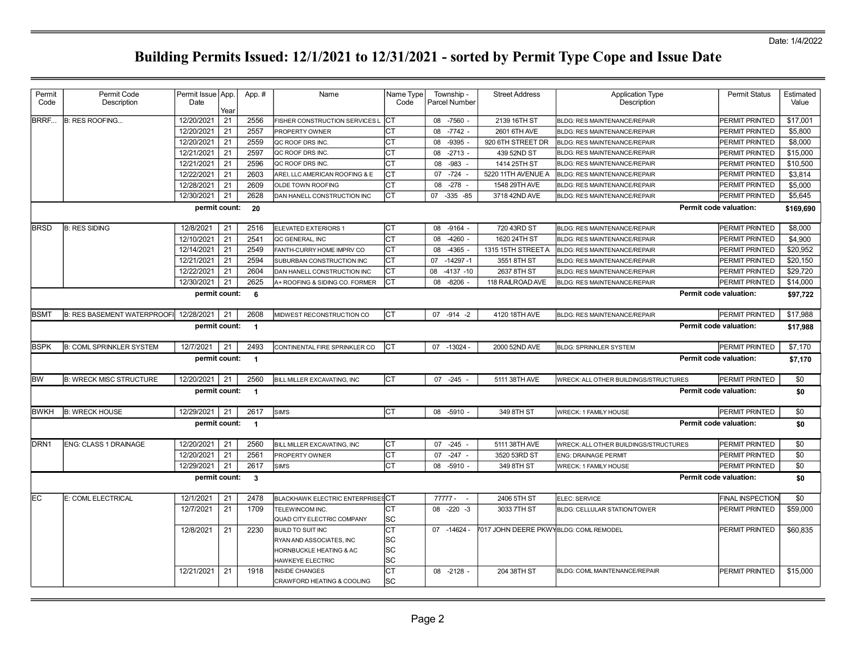| Permit           | Permit Code                        | Permit Issue   App.      |            | App.#          | Name                                          | Name Type  | Township -                        | <b>Street Address</b>                  | <b>Application Type</b>               | <b>Permit Status</b>    | Estimated  |
|------------------|------------------------------------|--------------------------|------------|----------------|-----------------------------------------------|------------|-----------------------------------|----------------------------------------|---------------------------------------|-------------------------|------------|
| Code             | Description                        | Date                     |            |                |                                               | Code       | Parcel Number                     |                                        | Description                           |                         | Value      |
| BRRF             | <b>B: RES ROOFING</b>              | 12/20/2021               | Year<br>21 | 2556           | FISHER CONSTRUCTION SERVICES L                | Іст        | 08 -7560 -                        | 2139 16TH ST                           | <b>BLDG: RES MAINTENANCE/REPAIR</b>   | <b>PERMIT PRINTED</b>   | \$17,001   |
|                  |                                    | 12/20/2021               | 21         | 2557           | PROPERTY OWNER                                | <b>CT</b>  | 08 -7742 -                        | 2601 6TH AVE                           | <b>BLDG: RES MAINTENANCE/REPAIR</b>   | PERMIT PRINTED          | \$5,800    |
|                  |                                    | 12/20/2021               | 21         | 2559           | QC ROOF DRS INC.                              | CТ         | $-9395$<br>08                     | 920 6TH STREET DR                      | <b>BLDG: RES MAINTENANCE/REPAIR</b>   | <b>PERMIT PRINTED</b>   | \$8,000    |
|                  |                                    | 12/21/2021               | 21         | 2597           | QC ROOF DRS INC.                              | <b>CT</b>  | 08<br>$-2713 -$                   | 439 52ND ST                            | <b>BLDG: RES MAINTENANCE/REPAIR</b>   | PERMIT PRINTED          | \$15,000   |
|                  |                                    | 12/21/2021               | 21         | 2596           | QC ROOF DRS INC.                              | СT         | $-983$<br>08                      | 1414 25TH ST                           | BLDG: RES MAINTENANCE/REPAIR          | PERMIT PRINTED          | \$10,500   |
|                  |                                    | 12/22/2021               | 21         | 2603           | AREI, LLC AMERICAN ROOFING & E                | СT         | $-724$<br>07                      | 5220 11TH AVENUE A                     | <b>BLDG: RES MAINTENANCE/REPAIR</b>   | PERMIT PRINTED          | \$3,814    |
|                  |                                    | 12/28/2021               | 21         | 2609           | OLDE TOWN ROOFING                             | <b>CT</b>  | $-278 -$<br>08                    | 1548 29TH AVE                          | <b>BLDG: RES MAINTENANCE/REPAIR</b>   | PERMIT PRINTED          | \$5,000    |
|                  |                                    | 12/30/2021               | 21         | 2628           | DAN HANELL CONSTRUCTION INC                   | Іст        | 07 -335 -85                       | 3718 42ND AVE                          | <b>BLDG: RES MAINTENANCE/REPAIR</b>   | PERMIT PRINTED          | \$5,645    |
|                  |                                    | permit count:            |            | 20             |                                               |            |                                   |                                        |                                       | Permit code valuation:  | \$169,690  |
|                  |                                    |                          |            |                |                                               |            |                                   |                                        |                                       |                         |            |
| <b>BRSD</b>      | <b>B: RES SIDING</b>               | 12/8/2021                | 21         | 2516           | <b>ELEVATED EXTERIORS 1</b>                   | СT         | 08<br>$-9164$ -                   | 720 43RD ST                            | <b>BLDG: RES MAINTENANCE/REPAIR</b>   | <b>PERMIT PRINTED</b>   | \$8,000    |
|                  |                                    | 12/10/2021               | 21         | 2541           | QC GENERAL, INC                               | <b>CT</b>  | 08<br>$-4260 -$                   | 1620 24TH ST                           | <b>BLDG: RES MAINTENANCE/REPAIR</b>   | PERMIT PRINTED          | \$4,900    |
|                  |                                    | 12/14/2021               | 21         | 2549           | FANTH-CURRY HOME IMPRV CO                     | <b>CT</b>  | $-4365$<br>08                     | 1315 15TH STREET A                     | <b>BLDG: RES MAINTENANCE/REPAIR</b>   | PERMIT PRINTED          | \$20,952   |
|                  |                                    | 12/21/2021               | 21         | 2594           | SUBURBAN CONSTRUCTION INC                     | <b>CT</b>  | 07 -14297 -1                      | 3551 8TH ST                            | <b>BLDG: RES MAINTENANCE/REPAIR</b>   | PERMIT PRINTED          | \$20,150   |
|                  |                                    | 12/22/2021               | 21         | 2604           | DAN HANELL CONSTRUCTION INC                   | Iст        | $-4137 - 10$<br>08                | 2637 8TH ST                            | <b>BLDG: RES MAINTENANCE/REPAIR</b>   | PERMIT PRINTED          | \$29,720   |
|                  |                                    | 12/30/2021               | 21         | 2625           | A+ ROOFING & SIDING CO. FORMER                | СT         | 08<br>$-8206$                     | 118 RAILROAD AVE                       | <b>BLDG: RES MAINTENANCE/REPAIR</b>   | PERMIT PRINTED          | \$14,000   |
|                  |                                    | permit count:            |            | - 6            |                                               |            |                                   |                                        |                                       | Permit code valuation:  | \$97,722   |
| <b>BSMT</b>      | <b>B: RES BASEMENT WATERPROOFI</b> | 12/28/2021 21            |            | 2608           | MIDWEST RECONSTRUCTION CO                     | lст        | 07 - 914 - 2                      | 4120 18TH AVE                          | <b>BLDG: RES MAINTENANCE/REPAIR</b>   | PERMIT PRINTED          | \$17,988   |
|                  |                                    | permit count:            |            | $\overline{1}$ |                                               |            |                                   |                                        |                                       | Permit code valuation:  | \$17,988   |
|                  |                                    |                          |            |                |                                               |            |                                   |                                        |                                       |                         |            |
| <b>BSPK</b>      | <b>B: COML SPRINKLER SYSTEM</b>    | 12/7/2021                | 21         | 2493           | CONTINENTAL FIRE SPRINKLER CO                 | Іст        | 07 -13024                         | 2000 52ND AVE                          | <b>BLDG: SPRINKLER SYSTEM</b>         | <b>PERMIT PRINTED</b>   | \$7,170    |
|                  |                                    | permit count:            |            | $\overline{1}$ |                                               |            |                                   |                                        |                                       | Permit code valuation:  | \$7,170    |
| lbw              | <b>B: WRECK MISC STRUCTURE</b>     | 12/20/2021               | 21         | 2560           | BILL MILLER EXCAVATING, INC                   | <b>ICT</b> | $07 -245 -$                       | 5111 38TH AVE                          | WRECK: ALL OTHER BUILDINGS/STRUCTURES | PERMIT PRINTED          | \$0        |
|                  |                                    | permit count:            |            | $\overline{1}$ |                                               |            |                                   |                                        |                                       | Permit code valuation:  | \$0        |
|                  |                                    |                          |            |                |                                               |            |                                   |                                        |                                       |                         |            |
| <b>BWKH</b>      | <b>B: WRECK HOUSE</b>              | 12/29/2021               | 21         | 2617           | SIM'S                                         | Іст        | 08 -5910 -                        | 349 8TH ST                             | <b>WRECK: 1 FAMILY HOUSE</b>          | <b>PERMIT PRINTED</b>   | \$0        |
|                  |                                    | permit count:            |            | $\overline{1}$ |                                               |            |                                   |                                        |                                       | Permit code valuation:  | \$0        |
| DRN <sub>1</sub> |                                    |                          |            |                |                                               |            |                                   |                                        |                                       |                         |            |
|                  | <b>ENG: CLASS 1 DRAINAGE</b>       | 12/20/2021<br>12/20/2021 | 21<br>21   | 2560<br>2561   | BILL MILLER EXCAVATING, INC<br>PROPERTY OWNER | Iст<br>СT  | 07 -245                           | 5111 38TH AVE                          | WRECK: ALL OTHER BUILDINGS/STRUCTURES | PERMIT PRINTED          | \$0<br>\$0 |
|                  |                                    | 12/29/2021               | 21         | 2617           | SIM'S                                         | <b>CT</b>  | $-247 -$<br>07<br>08<br>$-5910 -$ | 3520 53RD ST<br>349 8TH ST             | <b>ENG: DRAINAGE PERMIT</b>           | PERMIT PRINTED          | \$0        |
|                  |                                    |                          |            |                |                                               |            |                                   |                                        | <b>WRECK: 1 FAMILY HOUSE</b>          | <b>PERMIT PRINTED</b>   |            |
|                  |                                    | permit count:            |            | $\mathbf{3}$   |                                               |            |                                   |                                        |                                       | Permit code valuation:  | \$0        |
| IEC.             | E: COML ELECTRICAL                 | 12/1/2021                | 21         | 2478           | <b>BLACKHAWK ELECTRIC ENTERPRISES CT</b>      |            | 77777 -<br>$\sim$                 | 2406 5TH ST                            | ELEC: SERVICE                         | <b>FINAL INSPECTION</b> | \$0        |
|                  |                                    | 12/7/2021                | 21         | 1709           | TELEWINCOM INC.                               | СT         | 08<br>$-220 -3$                   | 3033 7TH ST                            | <b>BLDG: CELLULAR STATION/TOWER</b>   | PERMIT PRINTED          | \$59,000   |
|                  |                                    |                          |            |                | QUAD CITY ELECTRIC COMPANY                    | SC         |                                   |                                        |                                       |                         |            |
|                  |                                    | 12/8/2021                | 21         | 2230           | <b>BUILD TO SUIT INC</b>                      | СT         | $07 - 14624 -$                    | 7017 JOHN DEERE PKWYBLDG: COML REMODEL |                                       | <b>PERMIT PRINTED</b>   | \$60,835   |
|                  |                                    |                          |            |                | RYAN AND ASSOCIATES. INC                      | SC         |                                   |                                        |                                       |                         |            |
|                  |                                    |                          |            |                | HORNBUCKLE HEATING & AC                       | SC         |                                   |                                        |                                       |                         |            |
|                  |                                    |                          |            |                | HAWKEYE ELECTRIC                              | SC         |                                   |                                        |                                       |                         |            |
|                  |                                    | 12/21/2021               | 21         | 1918           | <b>INSIDE CHANGES</b>                         | CT         | 08 -2128 -                        | 204 38TH ST                            | BLDG: COML MAINTENANCE/REPAIR         | PERMIT PRINTED          | \$15,000   |
|                  |                                    |                          |            |                | CRAWFORD HEATING & COOLING                    | lsc        |                                   |                                        |                                       |                         |            |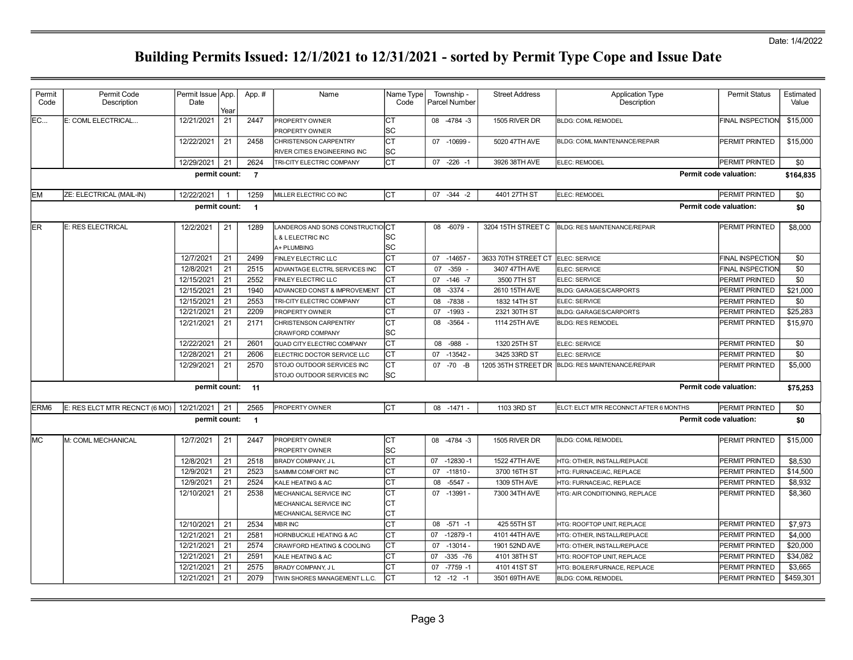| Permit<br>Code   | Permit Code<br>Description    | Permit Issue App.<br>Date |      | App.#          | Name                               | Name Type<br>Code | Township -<br>Parcel Number | <b>Street Address</b> | <b>Application Type</b><br>Description           | <b>Permit Status</b>          | Estimated<br>Value |
|------------------|-------------------------------|---------------------------|------|----------------|------------------------------------|-------------------|-----------------------------|-----------------------|--------------------------------------------------|-------------------------------|--------------------|
|                  |                               |                           | Year |                |                                    |                   |                             |                       |                                                  |                               |                    |
| <b>EC</b>        | E: COML ELECTRICAL            | 12/21/2021                | 21   | 2447           | <b>PROPERTY OWNER</b>              | <b>CT</b>         | 08 -4784 -3                 | 1505 RIVER DR         | <b>BLDG: COML REMODEL</b>                        | <b>FINAL INSPECTION</b>       | \$15,000           |
|                  |                               |                           |      |                | PROPERTY OWNER                     | SC                |                             |                       |                                                  |                               |                    |
|                  |                               | 12/22/2021                | 21   | 2458           | CHRISTENSON CARPENTRY              | Iст               | 07 -10699 -                 | 5020 47TH AVE         | <b>BLDG: COML MAINTENANCE/REPAIR</b>             | <b>PERMIT PRINTED</b>         | \$15,000           |
|                  |                               |                           |      |                | RIVER CITIES ENGINEERING INC       | lsc               |                             |                       |                                                  |                               |                    |
|                  |                               | 12/29/2021                | 21   | 2624           | TRI-CITY ELECTRIC COMPANY          | Іст               | $07 - 226 - 1$              | 3926 38TH AVE         | ELEC: REMODEL                                    | <b>PERMIT PRINTED</b>         | \$0                |
|                  |                               | permit count:             |      | $\overline{7}$ |                                    |                   |                             |                       |                                                  | Permit code valuation:        | \$164,835          |
| <b>EM</b>        | ZE: ELECTRICAL (MAIL-IN)      | 12/22/2021                |      | 1259           | MILLER ELECTRIC CO INC             | Iст               | 07 - 344 - 2                | 4401 27TH ST          | ELEC: REMODEL                                    | PERMIT PRINTED                | \$0                |
|                  |                               | permit count:             |      | $\overline{1}$ |                                    |                   |                             |                       |                                                  | <b>Permit code valuation:</b> | \$0                |
|                  |                               |                           |      |                |                                    |                   |                             |                       |                                                  |                               |                    |
| <b>ER</b>        | E: RES ELECTRICAL             | 12/2/2021                 | 21   | 1289           | LANDEROS AND SONS CONSTRUCTIONCT   |                   | 08 -6079 -                  | 3204 15TH STREET C    | <b>BLDG: RES MAINTENANCE/REPAIR</b>              | PERMIT PRINTED                | \$8,000            |
|                  |                               |                           |      |                | L & LELECTRIC INC                  | SC                |                             |                       |                                                  |                               |                    |
|                  |                               |                           |      |                | A+ PLUMBING                        | lsc               |                             |                       |                                                  |                               |                    |
|                  |                               | 12/7/2021                 | 21   | 2499           | FINLEY ELECTRIC LLC                | <b>CT</b>         | $-14657 -$<br>07            | 3633 70TH STREET CT   | ELEC: SERVICE                                    | FINAL INSPECTION              | \$0                |
|                  |                               | 12/8/2021                 | 21   | 2515           | ADVANTAGE ELCTRL SERVICES INC      | Iст               | 07<br>$-359 -$              | 3407 47TH AVE         | ELEC: SERVICE                                    | <b>FINAL INSPECTION</b>       | \$0                |
|                  |                               | 12/15/2021                | 21   | 2552           | FINLEY ELECTRIC LLC                | Іст               | $07 - 146 - 7$              | 3500 7TH ST           | ELEC: SERVICE                                    | PERMIT PRINTED                | \$0                |
|                  |                               | 12/15/2021                | 21   | 1940           | ADVANCED CONST & IMPROVEMENT       | Iст               | $-3374 -$<br>08             | 2610 15TH AVE         | <b>BLDG: GARAGES/CARPORTS</b>                    | <b>PERMIT PRINTED</b>         | \$21,000           |
|                  |                               | 12/15/2021                | 21   | 2553           | TRI-CITY ELECTRIC COMPANY          | IСТ               | $-7838 -$<br>08             | 1832 14TH ST          | ELEC: SERVICE                                    | PERMIT PRINTED                | \$0                |
|                  |                               | 12/21/2021                | 21   | 2209           | PROPERTY OWNER                     | <b>CT</b>         | $-1993 -$<br>07             | 2321 30TH ST          | <b>BLDG: GARAGES/CARPORTS</b>                    | PERMIT PRINTED                | \$25,283           |
|                  |                               | 12/21/2021                | 21   | 2171           | CHRISTENSON CARPENTRY              | Iст               | 08 -3564 -                  | 1114 25TH AVE         | <b>BLDG: RES REMODEL</b>                         | PERMIT PRINTED                | \$15,970           |
|                  |                               |                           |      |                | CRAWFORD COMPANY                   | lsc               |                             |                       |                                                  |                               |                    |
|                  |                               | 12/22/2021                | 21   | 2601           | QUAD CITY ELECTRIC COMPANY         | Іст               | 08<br>$-988 -$              | 1320 25TH ST          | ELEC: SERVICE                                    | PERMIT PRINTED                | \$0                |
|                  |                               | 12/28/2021                | 21   | 2606           | ELECTRIC DOCTOR SERVICE LLC        | Iст               | 07 -13542 -                 | 3425 33RD ST          | ELEC: SERVICE                                    | PERMIT PRINTED                | \$0                |
|                  |                               | 12/29/2021                | 21   | 2570           | STOJO OUTDOOR SERVICES INC         | Iст               | -70 -B<br>07                |                       | 1205 35TH STREET DR BLDG: RES MAINTENANCE/REPAIR | <b>PERMIT PRINTED</b>         | \$5,000            |
|                  |                               |                           |      |                | STOJO OUTDOOR SERVICES INC         | lsc               |                             |                       |                                                  |                               |                    |
|                  |                               | permit count:             |      | $-11$          |                                    |                   |                             |                       |                                                  | Permit code valuation:        | \$75,253           |
| ERM <sub>6</sub> | E: RES ELCT MTR RECNCT (6 MO) | 12/21/2021                | 21   | 2565           | PROPERTY OWNER                     | Iст               | 08 -1471 -                  | 1103 3RD ST           | ELCT: ELCT MTR RECONNCT AFTER 6 MONTHS           | <b>PERMIT PRINTED</b>         | \$0                |
|                  |                               | permit count:             |      | $\overline{1}$ |                                    |                   |                             |                       |                                                  | <b>Permit code valuation:</b> | \$0                |
|                  |                               |                           |      |                |                                    |                   |                             |                       |                                                  |                               |                    |
| <b>MC</b>        | M: COML MECHANICAL            | 12/7/2021                 | 21   | 2447           | <b>PROPERTY OWNER</b>              | lст               | 08 -4784 -3                 | 1505 RIVER DR         | <b>BLDG: COML REMODEL</b>                        | <b>PERMIT PRINTED</b>         | \$15,000           |
|                  |                               |                           |      |                | PROPERTY OWNER                     | lsc               |                             |                       |                                                  |                               |                    |
|                  |                               | 12/8/2021                 | 21   | 2518           | BRADY COMPANY, J L                 | Іст               | 07 -12830 -1                | 1522 47TH AVE         | HTG: OTHER, INSTALL/REPLACE                      | <b>PERMIT PRINTED</b>         | \$8,530            |
|                  |                               | 12/9/2021                 | 21   | 2523           | SAMMM COMFORT INC                  | Iст               | 07<br>$-11810 -$            | 3700 16TH ST          | HTG: FURNACE/AC, REPLACE                         | PERMIT PRINTED                | \$14,500           |
|                  |                               | 12/9/2021                 | 21   | 2524           | KALE HEATING & AC                  | Iст               | $-5547 -$<br>08             | 1309 5TH AVE          | HTG: FURNACE/AC, REPLACE                         | PERMIT PRINTED                | \$8,932            |
|                  |                               | 12/10/2021                | 21   | 2538           | MECHANICAL SERVICE INC             | СT                | 07 -13991 -                 | 7300 34TH AVE         | HTG: AIR CONDITIONING, REPLACE                   | PERMIT PRINTED                | \$8,360            |
|                  |                               |                           |      |                | MECHANICAL SERVICE INC             | Iст               |                             |                       |                                                  |                               |                    |
|                  |                               |                           |      |                | MECHANICAL SERVICE INC             | Iст               |                             |                       |                                                  |                               |                    |
|                  |                               | 12/10/2021                | 21   | 2534           | <b>MBR INC</b>                     | lст               | 08 -571 -1                  | 425 55TH ST           | HTG: ROOFTOP UNIT, REPLACE                       | PERMIT PRINTED                | \$7,973            |
|                  |                               | 12/21/2021                | 21   | 2581           | <b>HORNBUCKLE HEATING &amp; AC</b> | lст               | 07 -12879 -1                | 4101 44TH AVE         | HTG: OTHER, INSTALL/REPLACE                      | PERMIT PRINTED                | \$4,000            |
|                  |                               | 12/21/2021                | 21   | 2574           | CRAWFORD HEATING & COOLING         | Iст               | 07 -13014 -                 | 1901 52ND AVE         | HTG: OTHER, INSTALL/REPLACE                      | PERMIT PRINTED                | \$20,000           |
|                  |                               | 12/21/2021                | 21   | 2591           | KALE HEATING & AC                  | Iст               | $-335 - 76$<br>07           | 4101 38TH ST          | HTG: ROOFTOP UNIT, REPLACE                       | PERMIT PRINTED                | \$34,082           |
|                  |                               | 12/21/2021                | 21   | 2575           | BRADY COMPANY, J L                 | <b>CT</b>         | $-7759 - 1$<br>07           | 4101 41ST ST          | HTG: BOILER/FURNACE, REPLACE                     | PERMIT PRINTED                | \$3,665            |
|                  |                               | 12/21/2021                | 21   | 2079           | TWIN SHORES MANAGEMENT L.L.C.      | Іст               | $12 - 12 - 1$               | 3501 69TH AVE         | <b>BLDG: COML REMODEL</b>                        | PERMIT PRINTED                | \$459,301          |
|                  |                               |                           |      |                |                                    |                   |                             |                       |                                                  |                               |                    |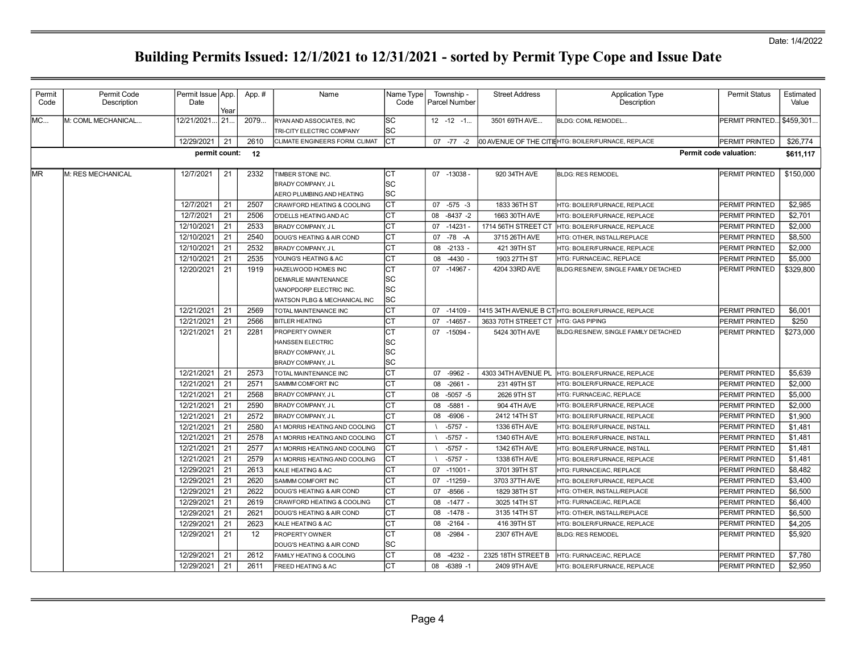| Permit<br>Code | Permit Code<br>Description | Permit Issue   App.<br>Date | Year | App.# | Name                                                                                                          | Name Type<br>Code        |    | Township -<br><b>Parcel Number</b> | <b>Street Address</b>               | <b>Application Type</b><br>Description             | <b>Permit Status</b>   | Estimated<br>Value |
|----------------|----------------------------|-----------------------------|------|-------|---------------------------------------------------------------------------------------------------------------|--------------------------|----|------------------------------------|-------------------------------------|----------------------------------------------------|------------------------|--------------------|
| MC             | M: COML MECHANICAL         | 12/21/2021.                 | 21   | 2079  | RYAN AND ASSOCIATES, INC<br>TRI-CITY ELECTRIC COMPANY                                                         | SC<br>SC.                |    | $12 - 12 - 1$                      | 3501 69TH AVE                       | BLDG: COML REMODEL                                 | PERMIT PRINTED         | \$459,301.         |
|                |                            | 12/29/2021                  | 21   | 2610  | CLIMATE ENGINEERS FORM. CLIMAT                                                                                | Iст                      |    | $07 - 77 - 2$                      |                                     | 00 AVENUE OF THE CITIEHTG: BOILER/FURNACE, REPLACE | PERMIT PRINTED         | \$26,774           |
|                |                            | permit count:               |      | 12    |                                                                                                               |                          |    |                                    |                                     |                                                    | Permit code valuation: | \$611,117          |
| <b>MR</b>      | M: RES MECHANICAL          | 12/7/2021                   | 21   | 2332  | TIMBER STONE INC.<br>BRADY COMPANY, J L<br>AERO PLUMBING AND HEATING                                          | Iст<br>SC.<br>lsc        |    | 07 -13038 -                        | 920 34TH AVE                        | <b>BLDG: RES REMODEL</b>                           | PERMIT PRINTED         | \$150,000          |
|                |                            | 12/7/2021                   | 21   | 2507  | CRAWFORD HEATING & COOLING                                                                                    | lст                      |    | $07 - 575 - 3$                     | 1833 36TH ST                        | HTG: BOILER/FURNACE, REPLACE                       | PERMIT PRINTED         | \$2,985            |
|                |                            | 12/7/2021                   | 21   | 2506  | O'DELLS HEATING AND AC                                                                                        | Iст                      | 08 | $-8437 - 2$                        | 1663 30TH AVE                       | HTG: BOILER/FURNACE, REPLACE                       | PERMIT PRINTED         | \$2,701            |
|                |                            | 12/10/2021                  | 21   | 2533  | BRADY COMPANY, J L                                                                                            | Iст                      |    | 07 -14231 -                        | 1714 56TH STREET CT                 | HTG: BOILER/FURNACE, REPLACE                       | PERMIT PRINTED         | \$2,000            |
|                |                            | 12/10/2021                  | 21   | 2540  | DOUG'S HEATING & AIR COND                                                                                     | Iст                      |    | 07 - 78 - A                        | 3715 26TH AVE                       | HTG: OTHER, INSTALL/REPLACE                        | PERMIT PRINTED         | \$8,500            |
|                |                            | 12/10/2021                  | 21   | 2532  | BRADY COMPANY, J L                                                                                            | Iст                      | 08 | $-2133 -$                          | 421 39TH ST                         | <b>HTG: BOILER/FURNACE, REPLACE</b>                | PERMIT PRINTED         | \$2,000            |
|                |                            | 12/10/2021                  | 21   | 2535  | YOUNG'S HEATING & AC                                                                                          | Iст                      | 08 | $-4430 -$                          | 1903 27TH ST                        | HTG: FURNACE/AC, REPLACE                           | PERMIT PRINTED         | \$5,000            |
|                |                            | 12/20/2021                  | 21   | 1919  | HAZELWOOD HOMES INC<br><b>DEMARLIE MAINTENANCE</b><br>VANOPDORP ELECTRIC INC.<br>WATSON PLBG & MECHANICAL INC | Iст<br> SC<br> SC<br>lsc |    | 07 -14967 -                        | 4204 33RD AVE                       | BLDG:RES/NEW, SINGLE FAMILY DETACHED               | PERMIT PRINTED         | \$329,800          |
|                |                            | 12/21/2021                  | 21   | 2569  | TOTAL MAINTENANCE INC                                                                                         | lст                      |    | 07 -14109                          |                                     | 1415 34TH AVENUE B CT HTG: BOILER/FURNACE, REPLACE | <b>PERMIT PRINTED</b>  | \$6,001            |
|                |                            | 12/21/2021                  | 21   | 2566  | <b>BITLER HEATING</b>                                                                                         | Iст                      |    | 07 -14657 -                        | 3633 70TH STREET CT HTG: GAS PIPING |                                                    | PERMIT PRINTED         | \$250              |
|                |                            | 12/21/2021                  | 21   | 2281  | PROPERTY OWNER<br>HANSSEN ELECTRIC<br><b>BRADY COMPANY, JL</b><br><b>BRADY COMPANY, JL</b>                    | Iст<br> SC<br> SC<br>lsc |    | 07 -15094 -                        | 5424 30TH AVE                       | BLDG:RES/NEW, SINGLE FAMILY DETACHED               | PERMIT PRINTED         | \$273,000          |
|                |                            | 12/21/2021                  | 21   | 2573  | TOTAL MAINTENANCE INC                                                                                         | Iст                      | 07 | -9962                              | 4303 34TH AVENUE PL                 | HTG: BOILER/FURNACE, REPLACE                       | PERMIT PRINTED         | \$5,639            |
|                |                            | 12/21/2021                  | 21   | 2571  | SAMMM COMFORT INC                                                                                             | Iст                      | 08 | $-2661 -$                          | 231 49TH ST                         | HTG: BOILER/FURNACE, REPLACE                       | PERMIT PRINTED         | \$2,000            |
|                |                            | 12/21/2021                  | 21   | 2568  | <b>BRADY COMPANY, JL</b>                                                                                      | Iст                      |    | 08 -5057 -5                        | 2626 9TH ST                         | HTG: FURNACE/AC, REPLACE                           | PERMIT PRINTED         | \$5,000            |
|                |                            | 12/21/2021                  | 21   | 2590  | BRADY COMPANY, J L                                                                                            | Iст                      | 08 | $-5881$                            | 904 4TH AVE                         | HTG: BOILER/FURNACE, REPLACE                       | PERMIT PRINTED         | \$2,000            |
|                |                            | 12/21/2021                  | 21   | 2572  | <b>BRADY COMPANY, JL</b>                                                                                      | Iст                      | 08 | $-6906 -$                          | 2412 14TH ST                        | HTG: BOILER/FURNACE, REPLACE                       | PERMIT PRINTED         | \$1,900            |
|                |                            | 12/21/2021                  | 21   | 2580  | A1 MORRIS HEATING AND COOLING                                                                                 | Іст                      |    | $-5757 -$                          | 1336 6TH AVE                        | HTG: BOILER/FURNACE, INSTALL                       | PERMIT PRINTED         | \$1,481            |
|                |                            | 12/21/2021                  | 21   | 2578  | A1 MORRIS HEATING AND COOLING                                                                                 | <b>CT</b>                |    | $-5757 -$                          | 1340 6TH AVE                        | HTG: BOILER/FURNACE, INSTALL                       | PERMIT PRINTED         | \$1.481            |
|                |                            | 12/21/2021                  | 21   | 2577  | A1 MORRIS HEATING AND COOLING                                                                                 | CТ                       |    | $-5757 -$                          | 1342 6TH AVE                        | HTG: BOILER/FURNACE, INSTALL                       | PERMIT PRINTED         | \$1,481            |
|                |                            | 12/21/2021                  | 21   | 2579  | A1 MORRIS HEATING AND COOLING                                                                                 | Iст                      |    | $-5757 -$                          | 1338 6TH AVE                        | HTG: BOILER/FURNACE, REPLACE                       | PERMIT PRINTED         | \$1,481            |
|                |                            | 12/29/2021                  | 21   | 2613  | KALE HEATING & AC                                                                                             | Iст                      |    | 07 -11001 -                        | 3701 39TH ST                        | HTG: FURNACE/AC, REPLACE                           | PERMIT PRINTED         | \$8,482            |
|                |                            | 12/29/2021                  | 21   | 2620  | SAMMM COMFORT INC                                                                                             | IСТ                      |    | 07 -11259                          | 3703 37TH AVE                       | HTG: BOILER/FURNACE, REPLACE                       | PERMIT PRINTED         | \$3,400            |
|                |                            | 12/29/2021                  | 21   | 2622  | DOUG'S HEATING & AIR COND                                                                                     | Iст                      | 07 | $-8566$ -                          | 1829 38TH ST                        | HTG: OTHER, INSTALL/REPLACE                        | PERMIT PRINTED         | \$6,500            |
|                |                            | 12/29/2021                  | 21   | 2619  | CRAWFORD HEATING & COOLING                                                                                    | Iст                      | 08 | $-1477 -$                          | 3025 14TH ST                        | HTG: FURNACE/AC. REPLACE                           | PERMIT PRINTED         | \$6,400            |
|                |                            | 12/29/2021                  | 21   | 2621  | DOUG'S HEATING & AIR COND                                                                                     | CT                       | 08 | $-1478 -$                          | 3135 14TH ST                        | HTG: OTHER, INSTALL/REPLACE                        | PERMIT PRINTED         | \$6,500            |
|                |                            | 12/29/2021                  | 21   | 2623  | KALE HEATING & AC                                                                                             | Iст                      | 08 | $-2164 -$                          | 416 39TH ST                         | HTG: BOILER/FURNACE, REPLACE                       | PERMIT PRINTED         | \$4,205            |
|                |                            | 12/29/2021                  | 21   | 12    | PROPERTY OWNER<br>DOUG'S HEATING & AIR COND                                                                   | Iст<br><b>SC</b>         | 08 | $-2984 -$                          | 2307 6TH AVE                        | <b>BLDG: RES REMODEL</b>                           | <b>PERMIT PRINTED</b>  | \$5,920            |
|                |                            | 12/29/2021                  | 21   | 2612  | FAMILY HEATING & COOLING                                                                                      | Iст                      | 08 | -4232                              | 2325 18TH STREET B                  | HTG: FURNACE/AC, REPLACE                           | PERMIT PRINTED         | \$7,780            |
|                |                            | 12/29/2021                  | 21   | 2611  | FREED HEATING & AC                                                                                            | Іст                      |    | 08 -6389 -1                        | 2409 9TH AVE                        | HTG: BOILER/FURNACE, REPLACE                       | PERMIT PRINTED         | \$2,950            |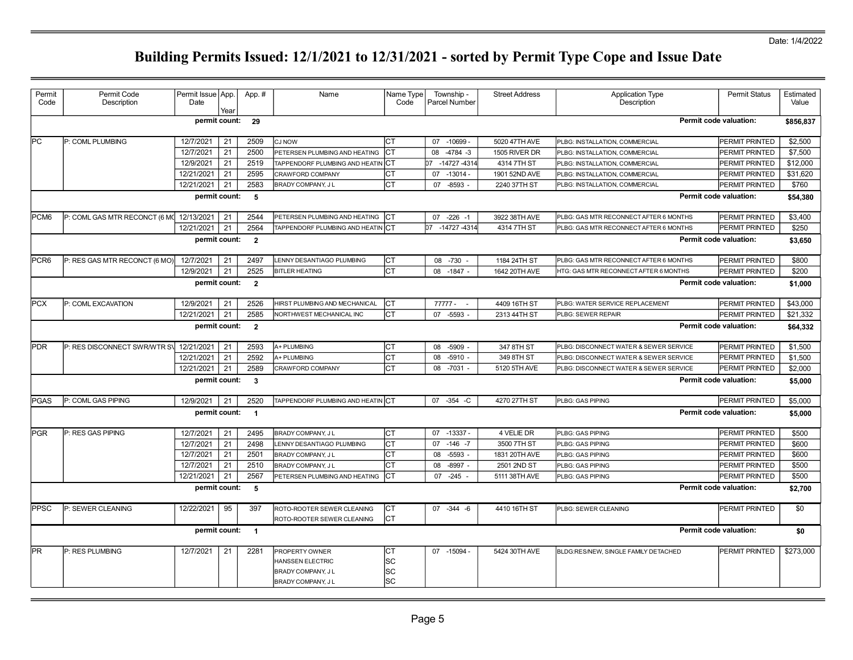## Date: 1/4/2022

| Permit           | Permit Code                                   | Permit Issue   App. |      | App.#          | Name                                                                                  | Name Type              | Township -           | <b>Street Address</b> | <b>Application Type</b>                | <b>Permit Status</b>          | Estimated |  |  |  |
|------------------|-----------------------------------------------|---------------------|------|----------------|---------------------------------------------------------------------------------------|------------------------|----------------------|-----------------------|----------------------------------------|-------------------------------|-----------|--|--|--|
| Code             | Description                                   | Date                | Year |                |                                                                                       | Code                   | <b>Parcel Number</b> |                       | Description                            |                               | Value     |  |  |  |
|                  | Permit code valuation:<br>permit count:<br>29 |                     |      |                |                                                                                       |                        |                      |                       |                                        |                               |           |  |  |  |
| PC               | P: COML PLUMBING                              | 12/7/2021           | 21   | 2509           | <b>CJ NOW</b>                                                                         | CТ                     | 07 -10699 -          | 5020 47TH AVE         | PLBG: INSTALLATION, COMMERCIAL         | PERMIT PRINTED                | \$2,500   |  |  |  |
|                  |                                               | 12/7/2021           | 21   | 2500           | PETERSEN PLUMBING AND HEATING                                                         | CТ                     | 08 -4784 -3          | 1505 RIVER DR         | PLBG: INSTALLATION, COMMERCIAL         | PERMIT PRINTED                | \$7,500   |  |  |  |
|                  |                                               | 12/9/2021           | 21   | 2519           | TAPPENDORF PLUMBING AND HEATIN                                                        | CТ                     | -14727-4314<br>በ7    | 4314 7TH ST           | PLBG: INSTALLATION, COMMERCIAL         | PERMIT PRINTED                | \$12,000  |  |  |  |
|                  |                                               | 12/21/2021          | 21   | 2595           | CRAWFORD COMPANY                                                                      | СT                     | $07 - 13014 -$       | 1901 52ND AVE         | PLBG: INSTALLATION, COMMERCIAL         | PERMIT PRINTED                | \$31,620  |  |  |  |
|                  |                                               | 12/21/2021          | 21   | 2583           | BRADY COMPANY, J L                                                                    | CТ                     | 07<br>$-8593$        | 2240 37TH ST          | PLBG: INSTALLATION, COMMERCIAL         | PERMIT PRINTED                | \$760     |  |  |  |
|                  |                                               | permit count:       |      | 5              |                                                                                       |                        |                      |                       |                                        | Permit code valuation:        | \$54,380  |  |  |  |
| PCM <sub>6</sub> | P: COML GAS MTR RECONCT (6 MC 12/13/2021      |                     | 21   | 2544           | PETERSEN PLUMBING AND HEATING                                                         | IСТ                    | $07 - 226 - 1$       | 3922 38TH AVE         | PLBG: GAS MTR RECONNECT AFTER 6 MONTHS | PERMIT PRINTED                | \$3.400   |  |  |  |
|                  |                                               | 12/21/2021          | 21   | 2564           | TAPPENDORF PLUMBING AND HEATIN CT                                                     |                        | 07 -14727 -4314      | 4314 7TH ST           | PLBG: GAS MTR RECONNECT AFTER 6 MONTHS | PERMIT PRINTED                | \$250     |  |  |  |
|                  |                                               | permit count:       |      | $\overline{2}$ |                                                                                       |                        |                      |                       |                                        | Permit code valuation:        | \$3,650   |  |  |  |
| PCR <sub>6</sub> | P: RES GAS MTR RECONCT (6 MO)                 | 12/7/2021           | 21   | 2497           | LENNY DESANTIAGO PLUMBING                                                             | IСТ                    | 08 -730 -            | 1184 24TH ST          | PLBG: GAS MTR RECONNECT AFTER 6 MONTHS | PERMIT PRINTED                | \$800     |  |  |  |
|                  |                                               | 12/9/2021           | 21   | 2525           | <b>BITLER HEATING</b>                                                                 | Іст                    | 08 -1847 -           | 1642 20TH AVE         | HTG: GAS MTR RECONNECT AFTER 6 MONTHS  | PERMIT PRINTED                | \$200     |  |  |  |
|                  |                                               | permit count:       |      | $\overline{2}$ |                                                                                       |                        |                      |                       |                                        | <b>Permit code valuation:</b> | \$1,000   |  |  |  |
| <b>PCX</b>       | P: COML EXCAVATION                            | 12/9/2021           | 21   | 2526           | HIRST PLUMBING AND MECHANICAL                                                         | IСТ                    | 77777 -<br>$\sim$    | 4409 16TH ST          | PLBG: WATER SERVICE REPLACEMENT        | PERMIT PRINTED                | \$43,000  |  |  |  |
|                  |                                               | 12/21/2021          | 21   | 2585           | NORTHWEST MECHANICAL INC                                                              | СT                     | 07<br>$-5593 -$      | 2313 44TH ST          | PLBG: SEWER REPAIR                     | PERMIT PRINTED                | \$21,332  |  |  |  |
|                  |                                               | permit count:       |      | $\overline{2}$ |                                                                                       |                        |                      |                       |                                        | <b>Permit code valuation:</b> | \$64,332  |  |  |  |
| <b>PDR</b>       | P: RES DISCONNECT SWRWTR SV                   | 12/21/2021          | 21   | 2593           | A+ PLUMBING                                                                           | Iст                    | $-5909$<br>08        | 347 8TH ST            | PLBG: DISCONNECT WATER & SEWER SERVICE | <b>PERMIT PRINTED</b>         | \$1,500   |  |  |  |
|                  |                                               | 12/21/2021          | 21   | 2592           | A+ PLUMBING                                                                           | CТ                     | 08<br>$-5910 -$      | 349 8TH ST            | PLBG: DISCONNECT WATER & SEWER SERVICE | <b>PERMIT PRINTED</b>         | \$1,500   |  |  |  |
|                  |                                               | 12/21/2021          | 21   | 2589           | CRAWFORD COMPANY                                                                      | СT                     | 08<br>$-7031 -$      | 5120 5TH AVE          | PLBG: DISCONNECT WATER & SEWER SERVICE | PERMIT PRINTED                | \$2,000   |  |  |  |
|                  |                                               | permit count:       |      | $\mathbf{3}$   |                                                                                       |                        |                      |                       |                                        | <b>Permit code valuation:</b> | \$5,000   |  |  |  |
| <b>PGAS</b>      | P: COML GAS PIPING                            | 12/9/2021           | 21   | 2520           | TAPPENDORF PLUMBING AND HEATIN CT                                                     |                        | 07 - 354 - C         | 4270 27TH ST          | PLBG: GAS PIPING                       | PERMIT PRINTED                | \$5,000   |  |  |  |
|                  |                                               | permit count:       |      | $\overline{1}$ |                                                                                       |                        |                      |                       |                                        | Permit code valuation:        | \$5,000   |  |  |  |
| PGR              | P: RES GAS PIPING                             | 12/7/2021           | 21   | 2495           | BRADY COMPANY, J L                                                                    | Iст                    | 07 -13337 -          | 4 VELIE DR            | PLBG: GAS PIPING                       | PERMIT PRINTED                | \$500     |  |  |  |
|                  |                                               | 12/7/2021           | 21   | 2498           | LENNY DESANTIAGO PLUMBING                                                             | СT                     | 07 -146 -7           | 3500 7TH ST           | PLBG: GAS PIPING                       | PERMIT PRINTED                | \$600     |  |  |  |
|                  |                                               | 12/7/2021           | 21   | 2501           | <b>BRADY COMPANY, JL</b>                                                              | СT                     | $-5593$ -<br>08      | 1831 20TH AVE         | PLBG: GAS PIPING                       | PERMIT PRINTED                | \$600     |  |  |  |
|                  |                                               | 12/7/2021           | 21   | 2510           | <b>BRADY COMPANY, JL</b>                                                              | СT                     | 08<br>$-8997 -$      | 2501 2ND ST           | PLBG: GAS PIPING                       | PERMIT PRINTED                | \$500     |  |  |  |
|                  |                                               | 12/21/2021          | 21   | 2567           | PETERSEN PLUMBING AND HEATING                                                         | CТ                     | $-245$<br>07         | 5111 38TH AVE         | PLBG: GAS PIPING                       | <b>PERMIT PRINTED</b>         | \$500     |  |  |  |
|                  |                                               | permit count:       |      | 5              |                                                                                       |                        |                      |                       |                                        | Permit code valuation:        | \$2,700   |  |  |  |
| <b>PPSC</b>      | P: SEWER CLEANING                             | 12/22/2021          | 95   | 397            | ROTO-ROOTER SEWER CLEANING<br>ROTO-ROOTER SEWER CLEANING                              | <b>CT</b><br><b>CT</b> | 07 -344 -6           | 4410 16TH ST          | PLBG: SEWER CLEANING                   | PERMIT PRINTED                | \$0       |  |  |  |
|                  |                                               | permit count:       |      | $\overline{1}$ |                                                                                       |                        |                      |                       |                                        | <b>Permit code valuation:</b> | \$0       |  |  |  |
| <b>PR</b>        | P: RES PLUMBING                               | 12/7/2021           | 21   | 2281           | PROPERTY OWNER<br><b>HANSSEN ELECTRIC</b><br>BRADY COMPANY, J L<br>BRADY COMPANY, J L | IСТ<br>SC<br> SC<br>SC | 07 -15094 -          | 5424 30TH AVE         | BLDG:RES/NEW, SINGLE FAMILY DETACHED   | PERMIT PRINTED                | \$273,000 |  |  |  |